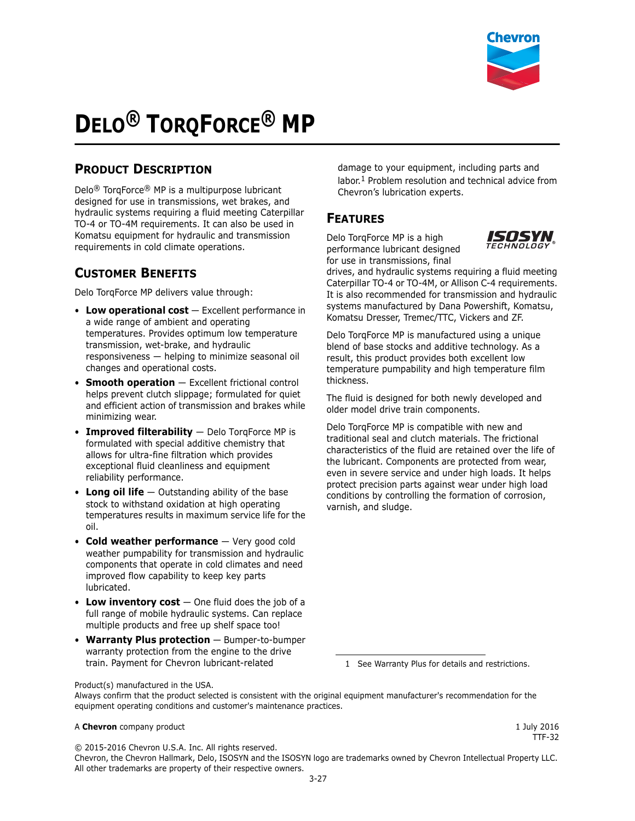

# **DELO® TORQFORCE® MP**

# **PRODUCT DESCRIPTION**

Delo® TorqForce® MP is a multipurpose lubricant designed for use in transmissions, wet brakes, and hydraulic systems requiring a fluid meeting Caterpillar TO-4 or TO-4M requirements. It can also be used in Komatsu equipment for hydraulic and transmission requirements in cold climate operations.

## **CUSTOMER BENEFITS**

Delo TorqForce MP delivers value through:

- Low operational cost Excellent performance in a wide range of ambient and operating temperatures. Provides optimum low temperature transmission, wet-brake, and hydraulic responsiveness — helping to minimize seasonal oil changes and operational costs.
- **Smooth operation** Excellent frictional control helps prevent clutch slippage; formulated for quiet and efficient action of transmission and brakes while minimizing wear.
- **Improved filterability** Delo TorqForce MP is formulated with special additive chemistry that allows for ultra-fine filtration which provides exceptional fluid cleanliness and equipment reliability performance.
- **Long oil life** Outstanding ability of the base stock to withstand oxidation at high operating temperatures results in maximum service life for the oil.
- **Cold weather performance** Very good cold weather pumpability for transmission and hydraulic components that operate in cold climates and need improved flow capability to keep key parts lubricated.
- **Low inventory cost** One fluid does the job of a full range of mobile hydraulic systems. Can replace multiple products and free up shelf space too!
- **Warranty Plus protection** Bumper-to-bumper warranty protection from the engine to the drive train. Payment for Chevron lubricant-related

damage to your equipment, including parts and labor.1 Problem resolution and technical advice from Chevron's lubrication experts.

## **FEATURES**

Delo TorqForce MP is a high performance lubricant designed for use in transmissions, final



drives, and hydraulic systems requiring a fluid meeting Caterpillar TO-4 or TO-4M, or Allison C-4 requirements. It is also recommended for transmission and hydraulic systems manufactured by Dana Powershift, Komatsu, Komatsu Dresser, Tremec/TTC, Vickers and ZF.

Delo TorqForce MP is manufactured using a unique blend of base stocks and additive technology. As a result, this product provides both excellent low temperature pumpability and high temperature film thickness.

The fluid is designed for both newly developed and older model drive train components.

Delo TorqForce MP is compatible with new and traditional seal and clutch materials. The frictional characteristics of the fluid are retained over the life of the lubricant. Components are protected from wear, even in severe service and under high loads. It helps protect precision parts against wear under high load conditions by controlling the formation of corrosion, varnish, and sludge.

1 See Warranty Plus for details and restrictions.

Product(s) manufactured in the USA.

Always confirm that the product selected is consistent with the original equipment manufacturer's recommendation for the equipment operating conditions and customer's maintenance practices.

#### A **Chevron** company product **1 1 a Chevron** company product

TTF-32

© 2015-2016 Chevron U.S.A. Inc. All rights reserved.

Chevron, the Chevron Hallmark, Delo, ISOSYN and the ISOSYN logo are trademarks owned by Chevron Intellectual Property LLC. All other trademarks are property of their respective owners.